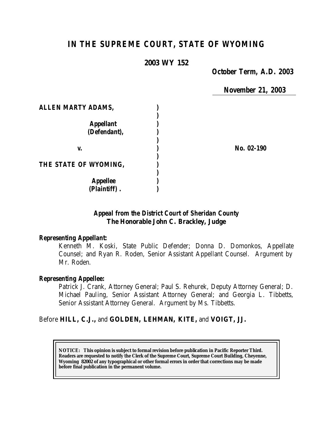# *IN THE SUPREME COURT, STATE OF WYOMING*

### **2003 WY 152**

*October Term, A.D. 2003*

*November 21, 2003*

| <b>ALLEN MARTY ADAMS,</b> |            |
|---------------------------|------------|
|                           |            |
| <b>Appellant</b>          |            |
| (Defendant),              |            |
|                           |            |
| V.                        | No. 02-190 |
|                           |            |
| THE STATE OF WYOMING,     |            |
|                           |            |
| <b>Appellee</b>           |            |
| (Plaintiff)               |            |

## *Appeal from the District Court of Sheridan County* **The Honorable John C. Brackley, Judge**

### *Representing Appellant:*

Kenneth M. Koski, State Public Defender; Donna D. Domonkos, Appellate Counsel; and Ryan R. Roden, Senior Assistant Appellant Counsel. Argument by Mr. Roden.

#### *Representing Appellee:*

Patrick J. Crank, Attorney General; Paul S. Rehurek, Deputy Attorney General; D. Michael Pauling, Senior Assistant Attorney General; and Georgia L. Tibbetts, Senior Assistant Attorney General. Argument by Ms. Tibbetts.

## Before **HILL, C.J.,** and **GOLDEN, LEHMAN, KITE,** and **VOIGT, JJ.**

**NOTICE:** *This opinion is subject to formal revision before publication in Pacific Reporter Third. Readers are requested to notify the Clerk of the Supreme Court, Supreme Court Building, Cheyenne, Wyoming 82002 of any typographical or other formal errors in order that corrections may be made before final publication in the permanent volume.*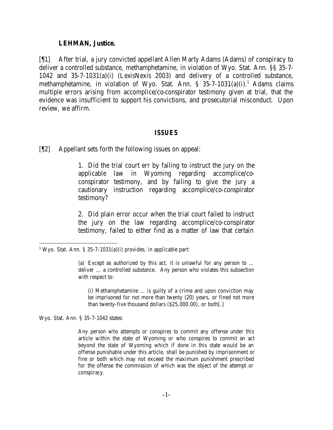#### **LEHMAN, Justice.**

[¶1] After trial, a jury convicted appellant Allen Marty Adams (Adams) of conspiracy to deliver a controlled substance, methamphetamine, in violation of Wyo. Stat. Ann. §§ 35-7- 1042 and 35-7-1031(a)(i) (LexisNexis 2003) and delivery of a controlled substance, methamphetamine, in violation of Wyo. Stat. Ann. § 35-7-1031(a)(i).<sup>1</sup> Adams claims multiple errors arising from accomplice/co-conspirator testimony given at trial, that the evidence was insufficient to support his convictions, and prosecutorial misconduct. Upon review, we affirm.

#### *ISSUES*

[¶2] Appellant sets forth the following issues on appeal:

1. Did the trial court err by failing to instruct the jury on the applicable law in Wyoming regarding accomplice/coconspirator testimony, and by failing to give the jury a cautionary instruction regarding accomplice/co-conspirator testimony?

2. Did plain error occur when the trial court failed to instruct the jury on the law regarding accomplice/co-conspirator testimony, failed to either find as a matter of law that certain

(i) Methamphetamine … is guilty of a crime and upon conviction may be imprisoned for not more than twenty (20) years, or fined not more than twenty-five thousand dollars (\$25,000.00), or both[.]

Wyo. Stat. Ann. § 35-7-1042 states:

l

Any person who attempts or conspires to commit any offense under this article within the state of Wyoming or who conspires to commit an act beyond the state of Wyoming which if done in this state would be an offense punishable under this article, shall be punished by imprisonment or fine or both which may not exceed the maximum punishment prescribed for the offense the commission of which was the object of the attempt or conspiracy.

<sup>&</sup>lt;sup>1</sup> Wyo. Stat. Ann. § 35-7-1031(a)(i) provides, in applicable part:

<sup>(</sup>a) Except as authorized by this act, it is unlawful for any person to … deliver … a controlled substance. Any person who violates this subsection with respect to: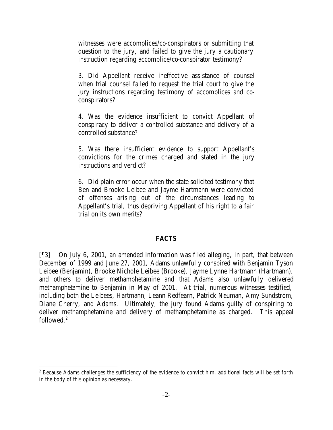witnesses were accomplices/co-conspirators or submitting that question to the jury, and failed to give the jury a cautionary instruction regarding accomplice/co-conspirator testimony?

3. Did Appellant receive ineffective assistance of counsel when trial counsel failed to request the trial court to give the jury instructions regarding testimony of accomplices and coconspirators?

4. Was the evidence insufficient to convict Appellant of conspiracy to deliver a controlled substance and delivery of a controlled substance?

5. Was there insufficient evidence to support Appellant's convictions for the crimes charged and stated in the jury instructions and verdict?

6. Did plain error occur when the state solicited testimony that Ben and Brooke Leibee and Jayme Hartmann were convicted of offenses arising out of the circumstances leading to Appellant's trial, thus depriving Appellant of his right to a fair trial on its own merits?

### *FACTS*

[¶3] On July 6, 2001, an amended information was filed alleging, in part, that between December of 1999 and June 27, 2001, Adams unlawfully conspired with Benjamin Tyson Leibee (Benjamin), Brooke Nichole Leibee (Brooke), Jayme Lynne Hartmann (Hartmann), and others to deliver methamphetamine and that Adams also unlawfully delivered methamphetamine to Benjamin in May of 2001. At trial, numerous witnesses testified, including both the Leibees, Hartmann, Leann Redfearn, Patrick Neuman, Amy Sundstrom, Diane Cherry, and Adams. Ultimately, the jury found Adams guilty of conspiring to deliver methamphetamine and delivery of methamphetamine as charged. This appeal followed.<sup>2</sup>

l

<sup>&</sup>lt;sup>2</sup> Because Adams challenges the sufficiency of the evidence to convict him, additional facts will be set forth in the body of this opinion as necessary.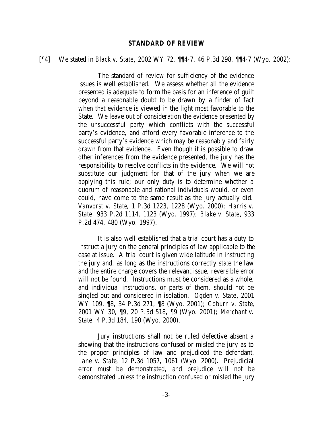#### *STANDARD OF REVIEW*

#### [¶4] We stated in *Black v. State*, 2002 WY 72, ¶¶4-7, 46 P.3d 298, ¶¶4-7 (Wyo. 2002):

The standard of review for sufficiency of the evidence issues is well established. We assess whether all the evidence presented is adequate to form the basis for an inference of guilt beyond a reasonable doubt to be drawn by a finder of fact when that evidence is viewed in the light most favorable to the State. We leave out of consideration the evidence presented by the unsuccessful party which conflicts with the successful party's evidence, and afford every favorable inference to the successful party's evidence which may be reasonably and fairly drawn from that evidence. Even though it is possible to draw other inferences from the evidence presented, the jury has the responsibility to resolve conflicts in the evidence. We will not substitute our judgment for that of the jury when we are applying this rule; our only duty is to determine whether a quorum of reasonable and rational individuals would, or even could, have come to the same result as the jury actually did. *Vanvorst v. State*, 1 P.3d 1223, 1228 (Wyo. 2000); *Harris v. State*, 933 P.2d 1114, 1123 (Wyo. 1997); *Blake v. State*, 933 P.2d 474, 480 (Wyo. 1997).

It is also well established that a trial court has a duty to instruct a jury on the general principles of law applicable to the case at issue. A trial court is given wide latitude in instructing the jury and, as long as the instructions correctly state the law and the entire charge covers the relevant issue, reversible error will not be found. Instructions must be considered as a whole, and individual instructions, or parts of them, should not be singled out and considered in isolation. *Ogden v. State*, 2001 WY 109, ¶8, 34 P.3d 271, ¶8 (Wyo. 2001); *Coburn v. State*, 2001 WY 30, ¶9, 20 P.3d 518, ¶9 (Wyo. 2001); *Merchant v. State*, 4 P.3d 184, 190 (Wyo. 2000).

Jury instructions shall not be ruled defective absent a showing that the instructions confused or misled the jury as to the proper principles of law and prejudiced the defendant. *Lane v. State*, 12 P.3d 1057, 1061 (Wyo. 2000). Prejudicial error must be demonstrated, and prejudice will not be demonstrated unless the instruction confused or misled the jury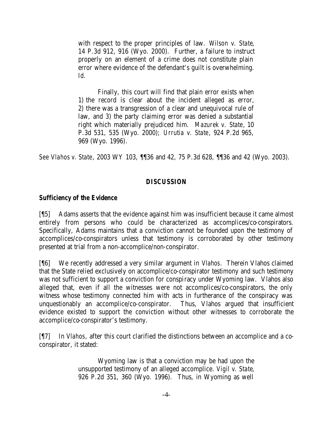with respect to the proper principles of law. *Wilson v. State*, 14 P.3d 912, 916 (Wyo. 2000). Further, a failure to instruct properly on an element of a crime does not constitute plain error where evidence of the defendant's guilt is overwhelming. *Id.*

Finally, this court will find that plain error exists when 1) the record is clear about the incident alleged as error, 2) there was a transgression of a clear and unequivocal rule of law, and 3) the party claiming error was denied a substantial right which materially prejudiced him. *Mazurek v*. *State*, 10 P.3d 531, 535 (Wyo. 2000); *Urrutia v. State*, 924 P.2d 965, 969 (Wyo. 1996).

*See Vlahos v. State*, 2003 WY 103, ¶¶36 and 42, 75 P.3d 628, ¶¶36 and 42 (Wyo. 2003).

## *DISCUSSION*

## *Sufficiency of the Evidence*

[¶5] Adams asserts that the evidence against him was insufficient because it came almost entirely from persons who could be characterized as accomplices/co-conspirators. Specifically, Adams maintains that a conviction cannot be founded upon the testimony of accomplices/co-conspirators unless that testimony is corroborated by other testimony presented at trial from a non-accomplice/non-conspirator.

[¶6] We recently addressed a very similar argument in *Vlahos*. Therein Vlahos claimed that the State relied exclusively on accomplice/co-conspirator testimony and such testimony was not sufficient to support a conviction for conspiracy under Wyoming law. Vlahos also alleged that, even if all the witnesses were not accomplices/co-conspirators, the only witness whose testimony connected him with acts in furtherance of the conspiracy was unquestionably an accomplice/co-conspirator. Thus, Vlahos argued that insufficient evidence existed to support the conviction without other witnesses to corroborate the accomplice/co-conspirator's testimony.

[¶7] In *Vlahos*, after this court clarified the distinctions between an accomplice and a coconspirator, it stated:

> Wyoming law is that a conviction may be had upon the unsupported testimony of an alleged accomplice. *Vigil v. State*, 926 P.2d 351, 360 (Wyo. 1996). Thus, in Wyoming as well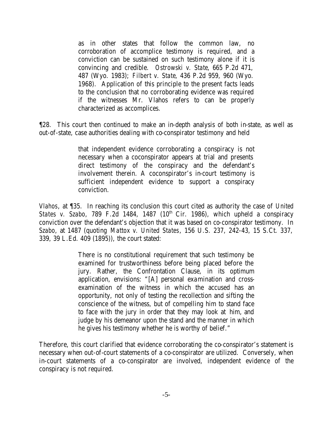as in other states that follow the common law, no corroboration of accomplice testimony is required, and a conviction can be sustained on such testimony alone if it is convincing and credible. *Ostrowski v. State*, 665 P.2d 471, 487 (Wyo. 1983); *Filbert v. State*, 436 P.2d 959, 960 (Wyo. 1968). Application of this principle to the present facts leads to the conclusion that no corroborating evidence was required if the witnesses Mr. Vlahos refers to can be properly characterized as accomplices.

¶28. This court then continued to make an in-depth analysis of both in-state, as well as out-of-state, case authorities dealing with co-conspirator testimony and held

> that independent evidence corroborating a conspiracy is not necessary when a coconspirator appears at trial and presents direct testimony of the conspiracy and the defendant's involvement therein. A coconspirator's in-court testimony is sufficient independent evidence to support a conspiracy conviction.

*Vlahos*, at ¶35. In reaching its conclusion this court cited as authority the case of *United States v. Szabo, 789 F.2d 1484, 1487 (10<sup>th</sup> Cir. 1986), which upheld a conspiracy* conviction over the defendant's objection that it was based on co-conspirator testimony. In *Szabo*, at 1487 (quoting *Mattox v. United States*, 156 U.S. 237, 242-43, 15 S.Ct. 337, 339, 39 L.Ed. 409 (1895)), the court stated:

> There is no constitutional requirement that such testimony be examined for trustworthiness before being placed before the jury. Rather, the Confrontation Clause, in its optimum application, envisions: "[A] personal examination and crossexamination of the witness in which the accused has an opportunity, not only of testing the recollection and sifting the conscience of the witness, but of compelling him to stand face to face with the jury in order that they may look at him, and judge by his demeanor upon the stand and the manner in which he gives his testimony whether he is worthy of belief."

Therefore, this court clarified that evidence corroborating the co-conspirator's statement is necessary when out-of-court statements of a co-conspirator are utilized. Conversely, when in-court statements of a co-conspirator are involved, independent evidence of the conspiracy is not required.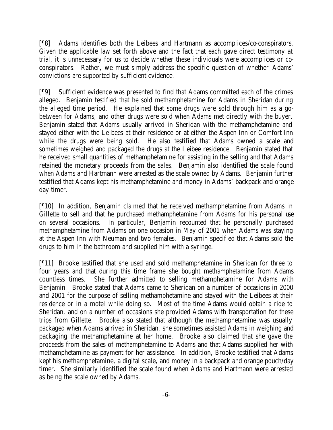[¶8] Adams identifies both the Leibees and Hartmann as accomplices/co-conspirators. Given the applicable law set forth above and the fact that each gave direct testimony at trial, it is unnecessary for us to decide whether these individuals were accomplices or coconspirators. Rather, we must simply address the specific question of whether Adams' convictions are supported by sufficient evidence.

[¶9] Sufficient evidence was presented to find that Adams committed each of the crimes alleged. Benjamin testified that he sold methamphetamine for Adams in Sheridan during the alleged time period. He explained that some drugs were sold through him as a gobetween for Adams, and other drugs were sold when Adams met directly with the buyer. Benjamin stated that Adams usually arrived in Sheridan with the methamphetamine and stayed either with the Leibees at their residence or at either the Aspen Inn or Comfort Inn while the drugs were being sold. He also testified that Adams owned a scale and sometimes weighed and packaged the drugs at the Leibee residence. Benjamin stated that he received small quantities of methamphetamine for assisting in the selling and that Adams retained the monetary proceeds from the sales. Benjamin also identified the scale found when Adams and Hartmann were arrested as the scale owned by Adams. Benjamin further testified that Adams kept his methamphetamine and money in Adams' backpack and orange day timer.

[¶10] In addition, Benjamin claimed that he received methamphetamine from Adams in Gillette to sell and that he purchased methamphetamine from Adams for his personal use on several occasions. In particular, Benjamin recounted that he personally purchased methamphetamine from Adams on one occasion in May of 2001 when Adams was staying at the Aspen Inn with Neuman and two females. Benjamin specified that Adams sold the drugs to him in the bathroom and supplied him with a syringe.

[¶11] Brooke testified that she used and sold methamphetamine in Sheridan for three to four years and that during this time frame she bought methamphetamine from Adams countless times. She further admitted to selling methamphetamine for Adams with Benjamin. Brooke stated that Adams came to Sheridan on a number of occasions in 2000 and 2001 for the purpose of selling methamphetamine and stayed with the Leibees at their residence or in a motel while doing so. Most of the time Adams would obtain a ride to Sheridan, and on a number of occasions she provided Adams with transportation for these trips from Gillette. Brooke also stated that although the methamphetamine was usually packaged when Adams arrived in Sheridan, she sometimes assisted Adams in weighing and packaging the methamphetamine at her home. Brooke also claimed that she gave the proceeds from the sales of methamphetamine to Adams and that Adams supplied her with methamphetamine as payment for her assistance. In addition, Brooke testified that Adams kept his methamphetamine, a digital scale, and money in a backpack and orange pouch/day timer. She similarly identified the scale found when Adams and Hartmann were arrested as being the scale owned by Adams.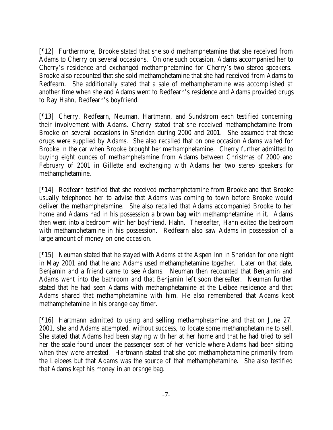[¶12] Furthermore, Brooke stated that she sold methamphetamine that she received from Adams to Cherry on several occasions. On one such occasion, Adams accompanied her to Cherry's residence and exchanged methamphetamine for Cherry's two stereo speakers. Brooke also recounted that she sold methamphetamine that she had received from Adams to Redfearn. She additionally stated that a sale of methamphetamine was accomplished at another time when she and Adams went to Redfearn's residence and Adams provided drugs to Ray Hahn, Redfearn's boyfriend.

[¶13] Cherry, Redfearn, Neuman, Hartmann, and Sundstrom each testified concerning their involvement with Adams. Cherry stated that she received methamphetamine from Brooke on several occasions in Sheridan during 2000 and 2001. She assumed that these drugs were supplied by Adams. She also recalled that on one occasion Adams waited for Brooke in the car when Brooke brought her methamphetamine. Cherry further admitted to buying eight ounces of methamphetamine from Adams between Christmas of 2000 and February of 2001 in Gillette and exchanging with Adams her two stereo speakers for methamphetamine.

[¶14] Redfearn testified that she received methamphetamine from Brooke and that Brooke usually telephoned her to advise that Adams was coming to town before Brooke would deliver the methamphetamine. She also recalled that Adams accompanied Brooke to her home and Adams had in his possession a brown bag with methamphetamine in it. Adams then went into a bedroom with her boyfriend, Hahn. Thereafter, Hahn exited the bedroom with methamphetamine in his possession. Redfearn also saw Adams in possession of a large amount of money on one occasion.

[¶15] Neuman stated that he stayed with Adams at the Aspen Inn in Sheridan for one night in May 2001 and that he and Adams used methamphetamine together. Later on that date, Benjamin and a friend came to see Adams. Neuman then recounted that Benjamin and Adams went into the bathroom and that Benjamin left soon thereafter. Neuman further stated that he had seen Adams with methamphetamine at the Leibee residence and that Adams shared that methamphetamine with him. He also remembered that Adams kept methamphetamine in his orange day timer.

[¶16] Hartmann admitted to using and selling methamphetamine and that on June 27, 2001, she and Adams attempted, without success, to locate some methamphetamine to sell. She stated that Adams had been staying with her at her home and that he had tried to sell her the scale found under the passenger seat of her vehicle where Adams had been sitting when they were arrested. Hartmann stated that she got methamphetamine primarily from the Leibees but that Adams was the source of that methamphetamine. She also testified that Adams kept his money in an orange bag.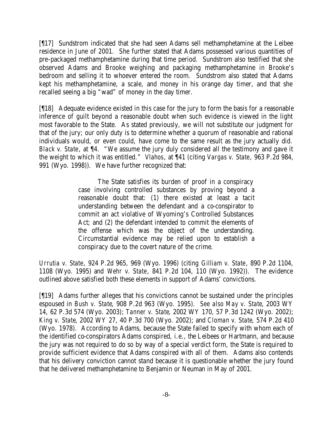[¶17] Sundstrom indicated that she had seen Adams sell methamphetamine at the Leibee residence in June of 2001. She further stated that Adams possessed various quantities of pre-packaged methamphetamine during that time period. Sundstrom also testified that she observed Adams and Brooke weighing and packaging methamphetamine in Brooke's bedroom and selling it to whoever entered the room. Sundstrom also stated that Adams kept his methamphetamine, a scale, and money in his orange day timer, and that she recalled seeing a big "wad" of money in the day timer.

[¶18] Adequate evidence existed in this case for the jury to form the basis for a reasonable inference of guilt beyond a reasonable doubt when such evidence is viewed in the light most favorable to the State. As stated previously, we will not substitute our judgment for that of the jury; our only duty is to determine whether a quorum of reasonable and rational individuals would, or even could, have come to the same result as the jury actually did. *Black v. State*, at ¶4. "We assume the jury duly considered all the testimony and gave it the weight to which it was entitled." *Vlahos*, at ¶41 (citing *Vargas v. State*, 963 P.2d 984, 991 (Wyo. 1998)). We have further recognized that:

> The State satisfies its burden of proof in a conspiracy case involving controlled substances by proving beyond a reasonable doubt that: (1) there existed at least a tacit understanding between the defendant and a co-conspirator to commit an act violative of Wyoming's Controlled Substances Act; and (2) the defendant intended to commit the elements of the offense which was the object of the understanding. Circumstantial evidence may be relied upon to establish a conspiracy due to the covert nature of the crime.

*Urrutia v. State*, 924 P.2d 965, 969 (Wyo. 1996) (citing *Gilliam v. State*, 890 P.2d 1104, 1108 (Wyo. 1995) and *Wehr v. State*, 841 P.2d 104, 110 (Wyo. 1992)). The evidence outlined above satisfied both these elements in support of Adams' convictions.

[¶19] Adams further alleges that his convictions cannot be sustained under the principles espoused in *Bush v. State*, 908 P.2d 963 (Wyo. 1995). *See also May v. State*, 2003 WY 14, 62 P.3d 574 (Wyo. 2003); *Tanner v. State*, 2002 WY 170, 57 P.3d 1242 (Wyo. 2002); *King v. State*, 2002 WY 27, 40 P.3d 700 (Wyo. 2002); and *Cloman v. State*, 574 P.2d 410 (Wyo. 1978). According to Adams, because the State failed to specify with whom each of the identified co-conspirators Adams conspired, i.e., the Leibees or Hartmann, and because the jury was not required to do so by way of a special verdict form, the State is required to provide sufficient evidence that Adams conspired with all of them. Adams also contends that his delivery conviction cannot stand because it is questionable whether the jury found that he delivered methamphetamine to Benjamin or Neuman in May of 2001.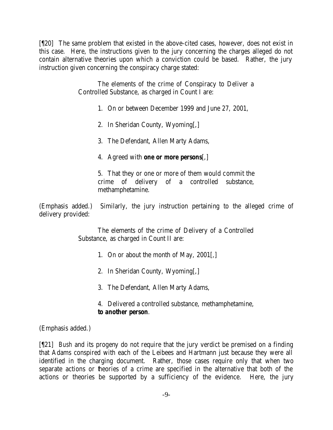[¶20] The same problem that existed in the above-cited cases, however, does not exist in this case. Here, the instructions given to the jury concerning the charges alleged do not contain alternative theories upon which a conviction could be based. Rather, the jury instruction given concerning the conspiracy charge stated:

> The elements of the crime of Conspiracy to Deliver a Controlled Substance, as charged in Count I are:

> > 1. On or between December 1999 and June 27, 2001,

2. In Sheridan County, Wyoming[,]

3. The Defendant, Allen Marty Adams,

4. Agreed with *one or more persons*[,]

5. That they or one or more of them would commit the crime of delivery of a controlled substance, methamphetamine.

(Emphasis added.) Similarly, the jury instruction pertaining to the alleged crime of delivery provided:

> The elements of the crime of Delivery of a Controlled Substance, as charged in Count II are:

> > 1. On or about the month of May, 2001[,]

2. In Sheridan County, Wyoming[,]

3. The Defendant, Allen Marty Adams,

4. Delivered a controlled substance, methamphetamine, *to another person*.

(Emphasis added.)

[¶21] *Bush* and its progeny do not require that the jury verdict be premised on a finding that Adams conspired with each of the Leibees and Hartmann just because they were all identified in the charging document. Rather, those cases require only that when two separate actions or theories of a crime are specified in the alternative that both of the actions or theories be supported by a sufficiency of the evidence. Here, the jury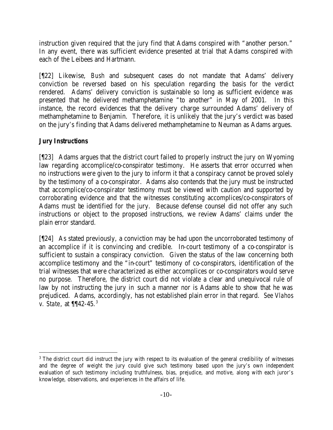instruction given required that the jury find that Adams conspired with "another person." In any event, there was sufficient evidence presented at trial that Adams conspired with each of the Leibees and Hartmann.

[¶22] Likewise, *Bush* and subsequent cases do not mandate that Adams' delivery conviction be reversed based on his speculation regarding the basis for the verdict rendered. Adams' delivery conviction is sustainable so long as sufficient evidence was presented that he delivered methamphetamine "to another" in May of 2001. In this instance, the record evidences that the delivery charge surrounded Adams' delivery of methamphetamine to Benjamin. Therefore, it is unlikely that the jury's verdict was based on the jury's finding that Adams delivered methamphetamine to Neuman as Adams argues.

## *Jury Instructions*

l

[¶23] Adams argues that the district court failed to properly instruct the jury on Wyoming law regarding accomplice/co-conspirator testimony. He asserts that error occurred when no instructions were given to the jury to inform it that a conspiracy cannot be proved solely by the testimony of a co-conspirator. Adams also contends that the jury must be instructed that accomplice/co-conspirator testimony must be viewed with caution and supported by corroborating evidence and that the witnesses constituting accomplices/co-conspirators of Adams must be identified for the jury. Because defense counsel did not offer any such instructions or object to the proposed instructions, we review Adams' claims under the plain error standard.

[¶24] As stated previously, a conviction may be had upon the uncorroborated testimony of an accomplice if it is convincing and credible. In-court testimony of a co-conspirator is sufficient to sustain a conspiracy conviction. Given the status of the law concerning both accomplice testimony and the "in-court" testimony of co-conspirators, identification of the trial witnesses that were characterized as either accomplices or co-conspirators would serve no purpose. Therefore, the district court did not violate a clear and unequivocal rule of law by not instructing the jury in such a manner nor is Adams able to show that he was prejudiced. Adams, accordingly, has not established plain error in that regard. *See Vlahos v. State*, at ¶¶42-45.<sup>3</sup>

<sup>&</sup>lt;sup>3</sup> The district court did instruct the jury with respect to its evaluation of the general credibility of witnesses and the degree of weight the jury could give such testimony based upon the jury's own independent evaluation of such testimony including truthfulness, bias, prejudice, and motive, along with each juror's knowledge, observations, and experiences in the affairs of life.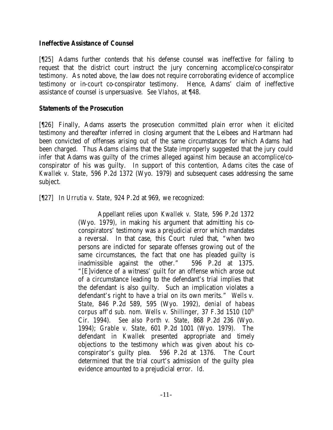### *Ineffective Assistance of Counsel*

[¶25] Adams further contends that his defense counsel was ineffective for failing to request that the district court instruct the jury concerning accomplice/co-conspirator testimony. As noted above, the law does not require corroborating evidence of accomplice testimony or in-court co-conspirator testimony. Hence, Adams' claim of ineffective assistance of counsel is unpersuasive. *See Vlahos*, at ¶48.

### *Statements of the Prosecution*

[¶26] Finally, Adams asserts the prosecution committed plain error when it elicited testimony and thereafter inferred in closing argument that the Leibees and Hartmann had been convicted of offenses arising out of the same circumstances for which Adams had been charged. Thus Adams claims that the State improperly suggested that the jury could infer that Adams was guilty of the crimes alleged against him because an accomplice/coconspirator of his was guilty. In support of this contention, Adams cites the case of *Kwallek v. State*, 596 P.2d 1372 (Wyo. 1979) and subsequent cases addressing the same subject.

[¶27] In *Urrutia v. State*, 924 P.2d at 969, we recognized:

Appellant relies upon *Kwallek v. State*, 596 P.2d 1372 (Wyo. 1979), in making his argument that admitting his coconspirators' testimony was a prejudicial error which mandates a reversal. In that case, this Court ruled that, "when two persons are indicted for separate offenses growing out of the same circumstances, the fact that one has pleaded guilty is inadmissible against the other." 596 P.2d at 1375. "[E]vidence of a witness' guilt for an offense which arose out of a circumstance leading to the defendant's trial implies that the defendant is also guilty. Such an implication violates a defendant's right to have a trial on its own merits." *Wells v. State*, 846 P.2d 589, 595 (Wyo. 1992), *denial of habeas corpus aff'd sub. nom. Wells v. Shillinger*, 37 F.3d 1510 (10<sup>th</sup>) Cir. 1994). *See also Porth v. State*, 868 P.2d 236 (Wyo. 1994); *Grable v. State*, 601 P.2d 1001 (Wyo. 1979). The defendant in *Kwallek* presented appropriate and timely objections to the testimony which was given about his coconspirator's guilty plea. 596 P.2d at 1376. The Court determined that the trial court's admission of the guilty plea evidence amounted to a prejudicial error. *Id.*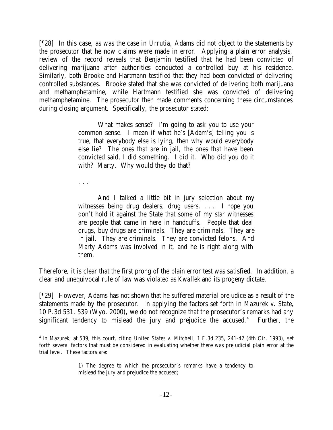[¶28] In this case, as was the case in *Urrutia*, Adams did not object to the statements by the prosecutor that he now claims were made in error. Applying a plain error analysis, review of the record reveals that Benjamin testified that he had been convicted of delivering marijuana after authorities conducted a controlled buy at his residence. Similarly, both Brooke and Hartmann testified that they had been convicted of delivering controlled substances. Brooke stated that she was convicted of delivering both marijuana and methamphetamine, while Hartmann testified she was convicted of delivering methamphetamine. The prosecutor then made comments concerning these circumstances during closing argument. Specifically, the prosecutor stated:

> What makes sense? I'm going to ask you to use your common sense. I mean if what he's [Adam's] telling you is true, that everybody else is lying, then why would everybody else lie? The ones that are in jail, the ones that have been convicted said, I did something. I did it. Who did you do it with? Marty. Why would they do that?

. . .

l

And I talked a little bit in jury selection about my witnesses being drug dealers, drug users. . . . I hope you don't hold it against the State that some of my star witnesses are people that came in here in handcuffs. People that deal drugs, buy drugs are criminals. They are criminals. They are in jail. They are criminals. They are convicted felons. And Marty Adams was involved in it, and he is right along with them.

Therefore, it is clear that the first prong of the plain error test was satisfied. In addition, a clear and unequivocal rule of law was violated as *Kwallek* and its progeny dictate.

[¶29] However, Adams has not shown that he suffered material prejudice as a result of the statements made by the prosecutor. In applying the factors set forth in *Mazurek v. State*, 10 P.3d 531, 539 (Wyo. 2000), we do not recognize that the prosecutor's remarks had any significant tendency to mislead the jury and prejudice the accused.<sup>4</sup> Further, the

<sup>4</sup> In *Mazurek*, at 539, this court, citing *United States v. Mitchell*, 1 F.3d 235, 241-42 (4th Cir. 1993), set forth several factors that must be considered in evaluating whether there was prejudicial plain error at the trial level. These factors are:

<sup>1)</sup> The degree to which the prosecutor's remarks have a tendency to mislead the jury and prejudice the accused;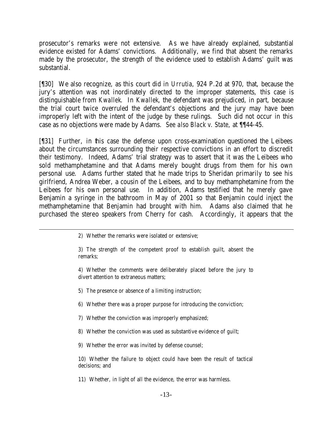prosecutor's remarks were not extensive. As we have already explained, substantial evidence existed for Adams' convictions. Additionally, we find that absent the remarks made by the prosecutor, the strength of the evidence used to establish Adams' guilt was substantial.

[¶30] We also recognize, as this court did in *Urrutia*, 924 P.2d at 970, that, because the jury's attention was not inordinately directed to the improper statements, this case is distinguishable from *Kwallek*. In *Kwallek*, the defendant was prejudiced, in part, because the trial court twice overruled the defendant's objections and the jury may have been improperly left with the intent of the judge by these rulings. Such did not occur in this case as no objections were made by Adams. *See also Black v. State*, at ¶¶44-45.

[¶31] Further, in this case the defense upon cross-examination questioned the Leibees about the circumstances surrounding their respective convictions in an effort to discredit their testimony. Indeed, Adams' trial strategy was to assert that it was the Leibees who sold methamphetamine and that Adams merely bought drugs from them for his own personal use. Adams further stated that he made trips to Sheridan primarily to see his girlfriend, Andrea Weber, a cousin of the Leibees, and to buy methamphetamine from the Leibees for his own personal use. In addition, Adams testified that he merely gave Benjamin a syringe in the bathroom in May of 2001 so that Benjamin could inject the methamphetamine that Benjamin had brought with him. Adams also claimed that he purchased the stereo speakers from Cherry for cash. Accordingly, it appears that the

l

- 5) The presence or absence of a limiting instruction;
- 6) Whether there was a proper purpose for introducing the conviction;
- 7) Whether the conviction was improperly emphasized;
- 8) Whether the conviction was used as substantive evidence of guilt;
- 9) Whether the error was invited by defense counsel;

10) Whether the failure to object could have been the result of tactical decisions; and

11) Whether, in light of all the evidence, the error was harmless.

<sup>2)</sup> Whether the remarks were isolated or extensive;

<sup>3)</sup> The strength of the competent proof to establish guilt, absent the remarks;

<sup>4)</sup> Whether the comments were deliberately placed before the jury to divert attention to extraneous matters;